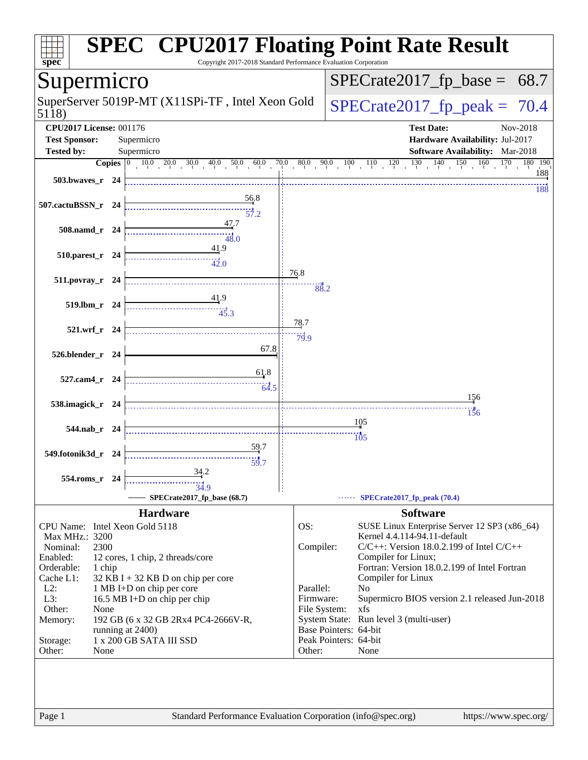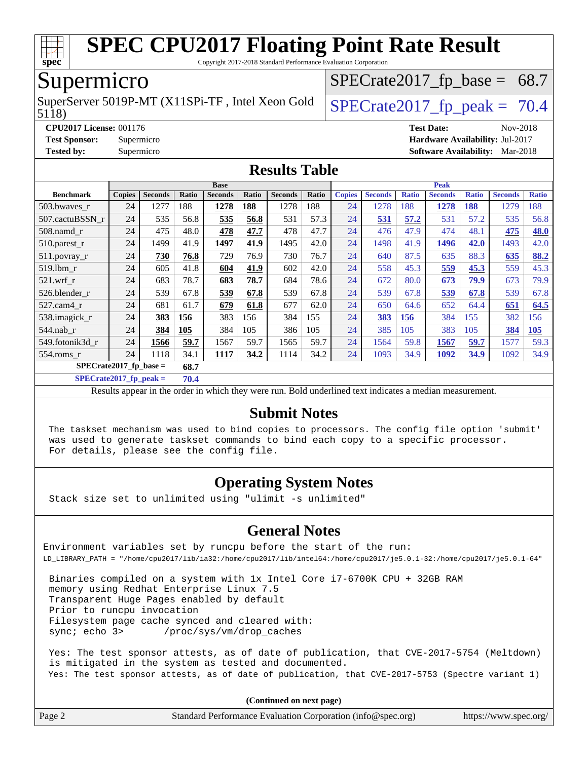

Copyright 2017-2018 Standard Performance Evaluation Corporation

## Supermicro

5118) SuperServer 5019P-MT (X11SPi-TF, Intel Xeon Gold  $\big|$  SPECrate 2017 fp peak = 70.4

 $SPECTate2017_fp\_base = 68.7$ 

**[CPU2017 License:](http://www.spec.org/auto/cpu2017/Docs/result-fields.html#CPU2017License)** 001176 **[Test Date:](http://www.spec.org/auto/cpu2017/Docs/result-fields.html#TestDate)** Nov-2018 **[Test Sponsor:](http://www.spec.org/auto/cpu2017/Docs/result-fields.html#TestSponsor)** Supermicro **[Hardware Availability:](http://www.spec.org/auto/cpu2017/Docs/result-fields.html#HardwareAvailability)** Jul-2017 **[Tested by:](http://www.spec.org/auto/cpu2017/Docs/result-fields.html#Testedby)** Supermicro **[Software Availability:](http://www.spec.org/auto/cpu2017/Docs/result-fields.html#SoftwareAvailability)** Mar-2018

#### **[Results Table](http://www.spec.org/auto/cpu2017/Docs/result-fields.html#ResultsTable)**

|                                  | <b>Base</b>   |                |       |                | <b>Peak</b> |                |       |               |                |              |                |              |                |              |
|----------------------------------|---------------|----------------|-------|----------------|-------------|----------------|-------|---------------|----------------|--------------|----------------|--------------|----------------|--------------|
| <b>Benchmark</b>                 | <b>Copies</b> | <b>Seconds</b> | Ratio | <b>Seconds</b> | Ratio       | <b>Seconds</b> | Ratio | <b>Copies</b> | <b>Seconds</b> | <b>Ratio</b> | <b>Seconds</b> | <b>Ratio</b> | <b>Seconds</b> | <b>Ratio</b> |
| 503.bwayes_r                     | 24            | 1277           | 188   | 1278           | 188         | 1278           | 188   | 24            | 1278           | 188          | 1278           | 188          | 1279           | 188          |
| 507.cactuBSSN r                  | 24            | 535            | 56.8  | 535            | 56.8        | 531            | 57.3  | 24            | 531            | 57.2         | 531            | 57.2         | 535            | 56.8         |
| $508$ .namd $r$                  | 24            | 475            | 48.0  | 478            | 47.7        | 478            | 47.7  | 24            | 476            | 47.9         | 474            | 48.1         | 475            | 48.0         |
| 510.parest_r                     | 24            | 1499           | 41.9  | 1497           | 41.9        | 1495           | 42.0  | 24            | 1498           | 41.9         | 1496           | 42.0         | 1493           | 42.0         |
| 511.povray_r                     | 24            | <b>730</b>     | 76.8  | 729            | 76.9        | 730            | 76.7  | 24            | 640            | 87.5         | 635            | 88.3         | 635            | 88.2         |
| 519.lbm r                        | 24            | 605            | 41.8  | 604            | 41.9        | 602            | 42.0  | 24            | 558            | 45.3         | 559            | 45.3         | 559            | 45.3         |
| $521$ .wrf r                     | 24            | 683            | 78.7  | 683            | 78.7        | 684            | 78.6  | 24            | 672            | 80.0         | 673            | 79.9         | 673            | 79.9         |
| 526.blender r                    | 24            | 539            | 67.8  | 539            | 67.8        | 539            | 67.8  | 24            | 539            | 67.8         | 539            | 67.8         | 539            | 67.8         |
| 527.cam4 r                       | 24            | 681            | 61.7  | 679            | 61.8        | 677            | 62.0  | 24            | 650            | 64.6         | 652            | 64.4         | 651            | 64.5         |
| 538.imagick_r                    | 24            | 383            | 156   | 383            | 156         | 384            | 155   | 24            | <u>383</u>     | 156          | 384            | 155          | 382            | 156          |
| $544$ .nab_r                     | 24            | 384            | 105   | 384            | 105         | 386            | 105   | 24            | 385            | 105          | 383            | 105          | 384            | 105          |
| 549.fotonik3d r                  | 24            | 1566           | 59.7  | 1567           | 59.7        | 1565           | 59.7  | 24            | 1564           | 59.8         | 1567           | 59.7         | 1577           | 59.3         |
| $554$ .roms r                    | 24            | 1118           | 34.1  | 1117           | 34.2        | 1114           | 34.2  | 24            | 1093           | 34.9         | 1092           | 34.9         | 1092           | 34.9         |
| $SPECrate2017$ fp base =<br>68.7 |               |                |       |                |             |                |       |               |                |              |                |              |                |              |

**[SPECrate2017\\_fp\\_peak =](http://www.spec.org/auto/cpu2017/Docs/result-fields.html#SPECrate2017fppeak) 70.4**

Results appear in the [order in which they were run.](http://www.spec.org/auto/cpu2017/Docs/result-fields.html#RunOrder) Bold underlined text [indicates a median measurement.](http://www.spec.org/auto/cpu2017/Docs/result-fields.html#Median)

#### **[Submit Notes](http://www.spec.org/auto/cpu2017/Docs/result-fields.html#SubmitNotes)**

 The taskset mechanism was used to bind copies to processors. The config file option 'submit' was used to generate taskset commands to bind each copy to a specific processor. For details, please see the config file.

#### **[Operating System Notes](http://www.spec.org/auto/cpu2017/Docs/result-fields.html#OperatingSystemNotes)**

Stack size set to unlimited using "ulimit -s unlimited"

#### **[General Notes](http://www.spec.org/auto/cpu2017/Docs/result-fields.html#GeneralNotes)**

Environment variables set by runcpu before the start of the run: LD\_LIBRARY\_PATH = "/home/cpu2017/lib/ia32:/home/cpu2017/lib/intel64:/home/cpu2017/je5.0.1-32:/home/cpu2017/je5.0.1-64"

 Binaries compiled on a system with 1x Intel Core i7-6700K CPU + 32GB RAM memory using Redhat Enterprise Linux 7.5 Transparent Huge Pages enabled by default Prior to runcpu invocation Filesystem page cache synced and cleared with: sync; echo 3> /proc/sys/vm/drop\_caches

 Yes: The test sponsor attests, as of date of publication, that CVE-2017-5754 (Meltdown) is mitigated in the system as tested and documented. Yes: The test sponsor attests, as of date of publication, that CVE-2017-5753 (Spectre variant 1)

**(Continued on next page)**

| Page 2 | Standard Performance Evaluation Corporation (info@spec.org) | https://www.spec.org/ |
|--------|-------------------------------------------------------------|-----------------------|
|--------|-------------------------------------------------------------|-----------------------|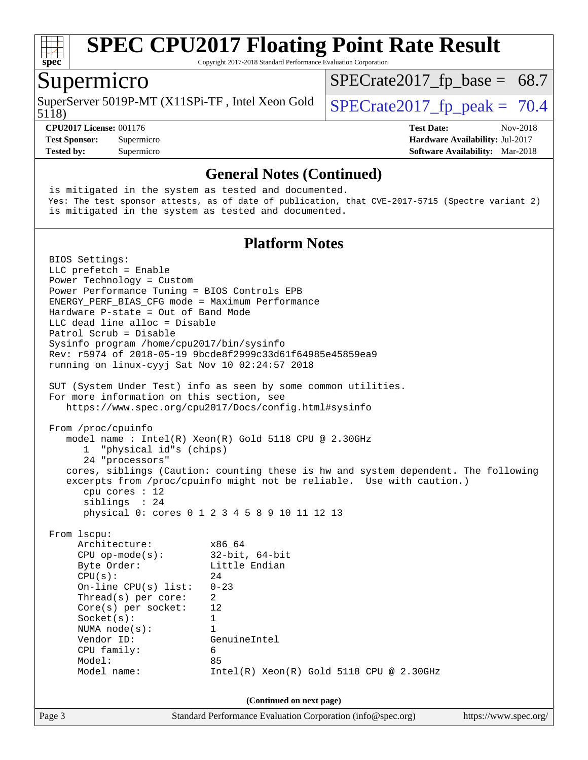

Copyright 2017-2018 Standard Performance Evaluation Corporation

#### Supermicro

5118) SuperServer 5019P-MT (X11SPi-TF, Intel Xeon Gold  $\big|$  SPECrate 2017 fp peak = 70.4

 $SPECTate2017_fp\_base = 68.7$ 

**[Tested by:](http://www.spec.org/auto/cpu2017/Docs/result-fields.html#Testedby)** Supermicro **[Software Availability:](http://www.spec.org/auto/cpu2017/Docs/result-fields.html#SoftwareAvailability)** Mar-2018

**[CPU2017 License:](http://www.spec.org/auto/cpu2017/Docs/result-fields.html#CPU2017License)** 001176 **[Test Date:](http://www.spec.org/auto/cpu2017/Docs/result-fields.html#TestDate)** Nov-2018 **[Test Sponsor:](http://www.spec.org/auto/cpu2017/Docs/result-fields.html#TestSponsor)** Supermicro **[Hardware Availability:](http://www.spec.org/auto/cpu2017/Docs/result-fields.html#HardwareAvailability)** Jul-2017

**[General Notes \(Continued\)](http://www.spec.org/auto/cpu2017/Docs/result-fields.html#GeneralNotes)** is mitigated in the system as tested and documented. Yes: The test sponsor attests, as of date of publication, that CVE-2017-5715 (Spectre variant 2) is mitigated in the system as tested and documented. **[Platform Notes](http://www.spec.org/auto/cpu2017/Docs/result-fields.html#PlatformNotes)** BIOS Settings: LLC prefetch = Enable Power Technology = Custom Power Performance Tuning = BIOS Controls EPB ENERGY\_PERF\_BIAS\_CFG mode = Maximum Performance Hardware P-state = Out of Band Mode LLC dead line alloc = Disable Patrol Scrub = Disable Sysinfo program /home/cpu2017/bin/sysinfo Rev: r5974 of 2018-05-19 9bcde8f2999c33d61f64985e45859ea9 running on linux-cyyj Sat Nov 10 02:24:57 2018 SUT (System Under Test) info as seen by some common utilities. For more information on this section, see <https://www.spec.org/cpu2017/Docs/config.html#sysinfo> From /proc/cpuinfo model name : Intel(R) Xeon(R) Gold 5118 CPU @ 2.30GHz 1 "physical id"s (chips) 24 "processors" cores, siblings (Caution: counting these is hw and system dependent. The following excerpts from /proc/cpuinfo might not be reliable. Use with caution.) cpu cores : 12 siblings : 24 physical 0: cores 0 1 2 3 4 5 8 9 10 11 12 13 From lscpu: Architecture: x86\_64 CPU op-mode(s): 32-bit, 64-bit Byte Order: Little Endian  $CPU(s):$  24 On-line CPU(s) list: 0-23 Thread(s) per core: 2 Core(s) per socket: 12 Socket(s): 1 NUMA node(s): 1 Vendor ID: GenuineIntel CPU family: 6 Model: 85 Model name: Intel(R) Xeon(R) Gold 5118 CPU @ 2.30GHz **(Continued on next page)**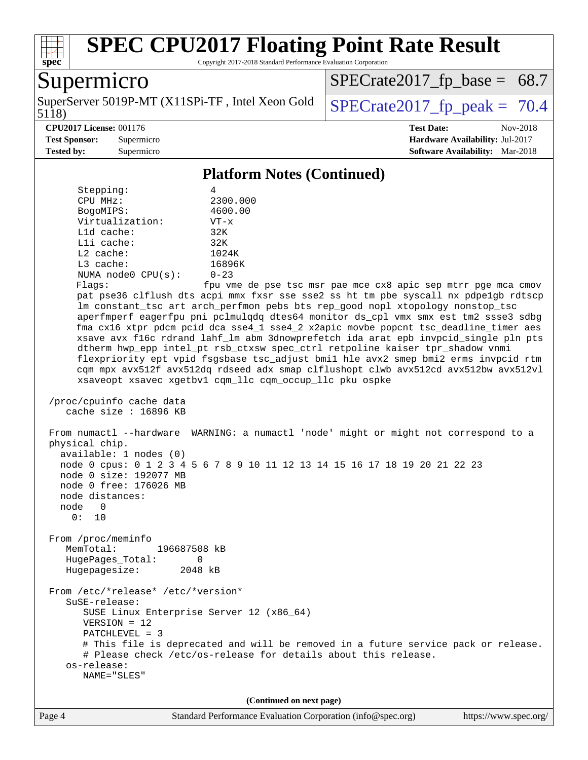

Copyright 2017-2018 Standard Performance Evaluation Corporation

## **Supermicro**

5118) SuperServer 5019P-MT (X11SPi-TF, Intel Xeon Gold  $\big|$  [SPECrate2017\\_fp\\_peak =](http://www.spec.org/auto/cpu2017/Docs/result-fields.html#SPECrate2017fppeak) 70.4

 $SPECrate2017_fp\_base = 68.7$ 

#### **[CPU2017 License:](http://www.spec.org/auto/cpu2017/Docs/result-fields.html#CPU2017License)** 001176 **[Test Date:](http://www.spec.org/auto/cpu2017/Docs/result-fields.html#TestDate)** Nov-2018

**[Test Sponsor:](http://www.spec.org/auto/cpu2017/Docs/result-fields.html#TestSponsor)** Supermicro **[Hardware Availability:](http://www.spec.org/auto/cpu2017/Docs/result-fields.html#HardwareAvailability)** Jul-2017 **[Tested by:](http://www.spec.org/auto/cpu2017/Docs/result-fields.html#Testedby)** Supermicro **Supermicro [Software Availability:](http://www.spec.org/auto/cpu2017/Docs/result-fields.html#SoftwareAvailability)** Mar-2018

**[Platform Notes \(Continued\)](http://www.spec.org/auto/cpu2017/Docs/result-fields.html#PlatformNotes)**

| Platform Notes (Continued)                                                                                                                                                                                                                                                                                                                                                                                                                                                                                                                                                                                                                                                                                                                                                                                                                                                                                                                                                                                                                                                    |  |  |  |  |  |  |
|-------------------------------------------------------------------------------------------------------------------------------------------------------------------------------------------------------------------------------------------------------------------------------------------------------------------------------------------------------------------------------------------------------------------------------------------------------------------------------------------------------------------------------------------------------------------------------------------------------------------------------------------------------------------------------------------------------------------------------------------------------------------------------------------------------------------------------------------------------------------------------------------------------------------------------------------------------------------------------------------------------------------------------------------------------------------------------|--|--|--|--|--|--|
| Stepping:<br>4<br>2300.000<br>CPU MHz:<br>BogoMIPS:<br>4600.00<br>Virtualization:<br>$VT - x$<br>L1d cache:<br>32K<br>Lli cache:<br>32K<br>$L2$ cache:<br>1024K<br>L3 cache:<br>16896K<br>$0 - 23$<br>NUMA $node0$ $CPU(s)$ :<br>fpu vme de pse tsc msr pae mce cx8 apic sep mtrr pge mca cmov<br>Flags:<br>pat pse36 clflush dts acpi mmx fxsr sse sse2 ss ht tm pbe syscall nx pdpelgb rdtscp<br>lm constant_tsc art arch_perfmon pebs bts rep_good nopl xtopology nonstop_tsc<br>aperfmperf eagerfpu pni pclmulqdq dtes64 monitor ds_cpl vmx smx est tm2 ssse3 sdbg<br>fma cx16 xtpr pdcm pcid dca sse4_1 sse4_2 x2apic movbe popcnt tsc_deadline_timer aes<br>xsave avx f16c rdrand lahf_lm abm 3dnowprefetch ida arat epb invpcid_single pln pts<br>dtherm hwp_epp intel_pt rsb_ctxsw spec_ctrl retpoline kaiser tpr_shadow vnmi<br>flexpriority ept vpid fsgsbase tsc_adjust bmil hle avx2 smep bmi2 erms invpcid rtm<br>cqm mpx avx512f avx512dq rdseed adx smap clflushopt clwb avx512cd avx512bw avx512vl<br>xsaveopt xsavec xgetbvl cqm_llc cqm_occup_llc pku ospke |  |  |  |  |  |  |
| /proc/cpuinfo cache data<br>cache size : 16896 KB                                                                                                                                                                                                                                                                                                                                                                                                                                                                                                                                                                                                                                                                                                                                                                                                                                                                                                                                                                                                                             |  |  |  |  |  |  |
| From numactl --hardware WARNING: a numactl 'node' might or might not correspond to a<br>physical chip.<br>available: 1 nodes (0)<br>node 0 cpus: 0 1 2 3 4 5 6 7 8 9 10 11 12 13 14 15 16 17 18 19 20 21 22 23<br>node 0 size: 192077 MB<br>node 0 free: 176026 MB<br>node distances:<br>node 0<br>0: 10                                                                                                                                                                                                                                                                                                                                                                                                                                                                                                                                                                                                                                                                                                                                                                      |  |  |  |  |  |  |
| From /proc/meminfo<br>MemTotal:<br>196687508 kB<br>HugePages_Total:<br>0<br>Hugepagesize:<br>2048 kB                                                                                                                                                                                                                                                                                                                                                                                                                                                                                                                                                                                                                                                                                                                                                                                                                                                                                                                                                                          |  |  |  |  |  |  |
| From /etc/*release* /etc/*version*<br>SuSE-release:<br>SUSE Linux Enterprise Server 12 (x86_64)<br>$VERSION = 12$<br>PATCHLEVEL = 3<br># This file is deprecated and will be removed in a future service pack or release.<br># Please check /etc/os-release for details about this release.<br>os-release:<br>NAME="SLES"                                                                                                                                                                                                                                                                                                                                                                                                                                                                                                                                                                                                                                                                                                                                                     |  |  |  |  |  |  |
| (Continued on next page)                                                                                                                                                                                                                                                                                                                                                                                                                                                                                                                                                                                                                                                                                                                                                                                                                                                                                                                                                                                                                                                      |  |  |  |  |  |  |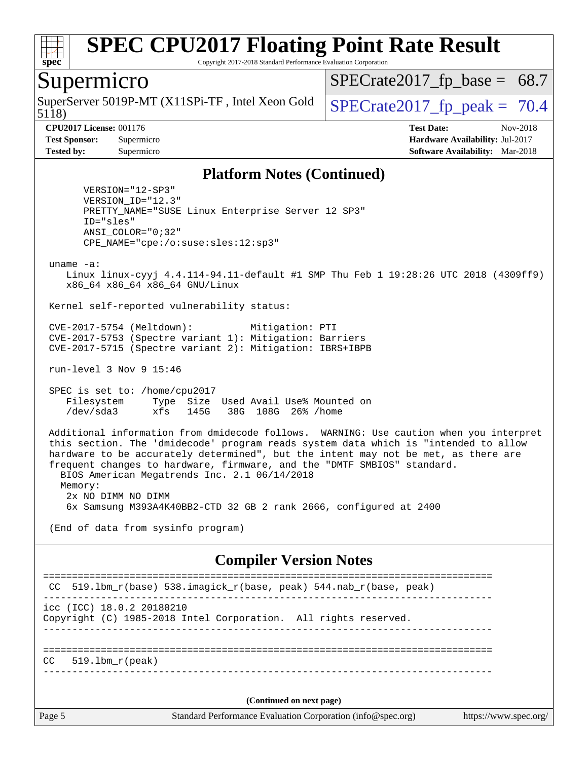

Copyright 2017-2018 Standard Performance Evaluation Corporation

#### Supermicro

5118) SuperServer 5019P-MT (X11SPi-TF, Intel Xeon Gold  $\big|$  SPECrate 2017 fp peak = 70.4

 $SPECTate2017_fp\_base = 68.7$ 

**[CPU2017 License:](http://www.spec.org/auto/cpu2017/Docs/result-fields.html#CPU2017License)** 001176 **[Test Date:](http://www.spec.org/auto/cpu2017/Docs/result-fields.html#TestDate)** Nov-2018 **[Test Sponsor:](http://www.spec.org/auto/cpu2017/Docs/result-fields.html#TestSponsor)** Supermicro **[Hardware Availability:](http://www.spec.org/auto/cpu2017/Docs/result-fields.html#HardwareAvailability)** Jul-2017 **[Tested by:](http://www.spec.org/auto/cpu2017/Docs/result-fields.html#Testedby)** Supermicro **[Software Availability:](http://www.spec.org/auto/cpu2017/Docs/result-fields.html#SoftwareAvailability)** Mar-2018

#### **[Platform Notes \(Continued\)](http://www.spec.org/auto/cpu2017/Docs/result-fields.html#PlatformNotes)**

 VERSION="12-SP3" VERSION\_ID="12.3" PRETTY\_NAME="SUSE Linux Enterprise Server 12 SP3" ID="sles" ANSI\_COLOR="0;32" CPE\_NAME="cpe:/o:suse:sles:12:sp3"

uname -a:

 Linux linux-cyyj 4.4.114-94.11-default #1 SMP Thu Feb 1 19:28:26 UTC 2018 (4309ff9) x86\_64 x86\_64 x86\_64 GNU/Linux

Kernel self-reported vulnerability status:

 CVE-2017-5754 (Meltdown): Mitigation: PTI CVE-2017-5753 (Spectre variant 1): Mitigation: Barriers CVE-2017-5715 (Spectre variant 2): Mitigation: IBRS+IBPB

run-level 3 Nov 9 15:46

 SPEC is set to: /home/cpu2017 Filesystem Type Size Used Avail Use% Mounted on /dev/sda3 xfs 145G 38G 108G 26% /home

 Additional information from dmidecode follows. WARNING: Use caution when you interpret this section. The 'dmidecode' program reads system data which is "intended to allow hardware to be accurately determined", but the intent may not be met, as there are frequent changes to hardware, firmware, and the "DMTF SMBIOS" standard. BIOS American Megatrends Inc. 2.1 06/14/2018 Memory: 2x NO DIMM NO DIMM

6x Samsung M393A4K40BB2-CTD 32 GB 2 rank 2666, configured at 2400

(End of data from sysinfo program)

#### **[Compiler Version Notes](http://www.spec.org/auto/cpu2017/Docs/result-fields.html#CompilerVersionNotes)**

Page 5 Standard Performance Evaluation Corporation [\(info@spec.org\)](mailto:info@spec.org) <https://www.spec.org/> ============================================================================== CC 519.lbm\_r(base) 538.imagick\_r(base, peak) 544.nab\_r(base, peak) ----------------------------------------------------------------------------- icc (ICC) 18.0.2 20180210 Copyright (C) 1985-2018 Intel Corporation. All rights reserved. ------------------------------------------------------------------------------ ==============================================================================  $CC = 519.1$ bm  $r(peak)$ ------------------------------------------------------------------------------ **(Continued on next page)**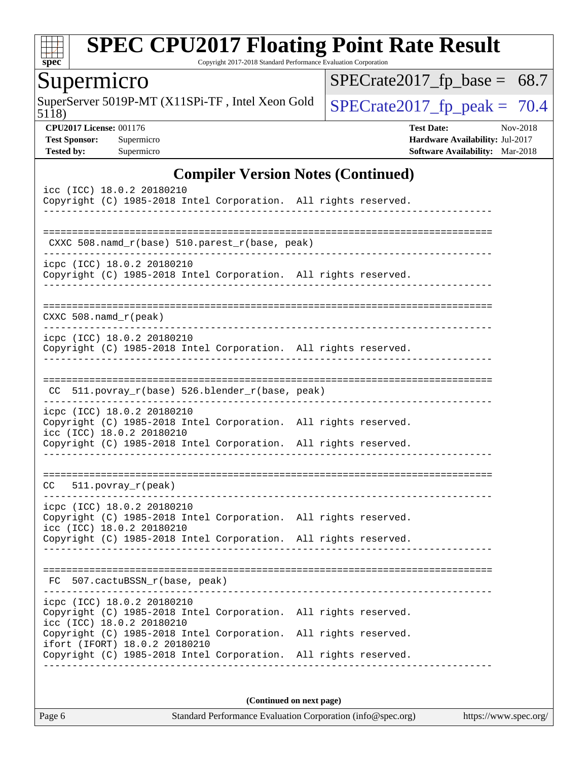

Copyright 2017-2018 Standard Performance Evaluation Corporation

## Supermicro

5118) SuperServer 5019P-MT (X11SPi-TF, Intel Xeon Gold  $\big|$  [SPECrate2017\\_fp\\_peak =](http://www.spec.org/auto/cpu2017/Docs/result-fields.html#SPECrate2017fppeak) 70.4

 $SPECrate2017_fp\_base = 68.7$ 

**[CPU2017 License:](http://www.spec.org/auto/cpu2017/Docs/result-fields.html#CPU2017License)** 001176 **[Test Date:](http://www.spec.org/auto/cpu2017/Docs/result-fields.html#TestDate)** Nov-2018 **[Test Sponsor:](http://www.spec.org/auto/cpu2017/Docs/result-fields.html#TestSponsor)** Supermicro **[Hardware Availability:](http://www.spec.org/auto/cpu2017/Docs/result-fields.html#HardwareAvailability)** Jul-2017 **[Tested by:](http://www.spec.org/auto/cpu2017/Docs/result-fields.html#Testedby)** Supermicro **[Software Availability:](http://www.spec.org/auto/cpu2017/Docs/result-fields.html#SoftwareAvailability)** Mar-2018

#### **[Compiler Version Notes \(Continued\)](http://www.spec.org/auto/cpu2017/Docs/result-fields.html#CompilerVersionNotes)**

| icc (ICC) 18.0.2 20180210<br>Copyright (C) 1985-2018 Intel Corporation. All rights reserved.                               |  |
|----------------------------------------------------------------------------------------------------------------------------|--|
| CXXC 508.namd_r(base) 510.parest_r(base, peak)                                                                             |  |
| icpc (ICC) 18.0.2 20180210<br>Copyright (C) 1985-2018 Intel Corporation. All rights reserved.                              |  |
| $CXXC 508.namd_r (peak)$                                                                                                   |  |
| icpc (ICC) 18.0.2 20180210<br>Copyright (C) 1985-2018 Intel Corporation. All rights reserved.                              |  |
| CC 511.povray_r(base) 526.blender_r(base, peak)                                                                            |  |
| icpc (ICC) 18.0.2 20180210<br>Copyright (C) 1985-2018 Intel Corporation. All rights reserved.<br>icc (ICC) 18.0.2 20180210 |  |
| Copyright (C) 1985-2018 Intel Corporation. All rights reserved.                                                            |  |
| $CC = 511.povray_r (peak)$                                                                                                 |  |
| icpc (ICC) 18.0.2 20180210<br>Copyright (C) 1985-2018 Intel Corporation. All rights reserved.<br>icc (ICC) 18.0.2 20180210 |  |
| Copyright (C) 1985-2018 Intel Corporation. All rights reserved.                                                            |  |
| FC 507.cactuBSSN_r(base, peak)                                                                                             |  |
| icpc (ICC) 18.0.2 20180210<br>Copyright (C) 1985-2018 Intel Corporation. All rights reserved.<br>icc (ICC) 18.0.2 20180210 |  |
| Copyright (C) 1985-2018 Intel Corporation. All rights reserved.<br>ifort (IFORT) 18.0.2 20180210                           |  |
| Copyright (C) 1985-2018 Intel Corporation. All rights reserved.                                                            |  |
|                                                                                                                            |  |

**(Continued on next page)**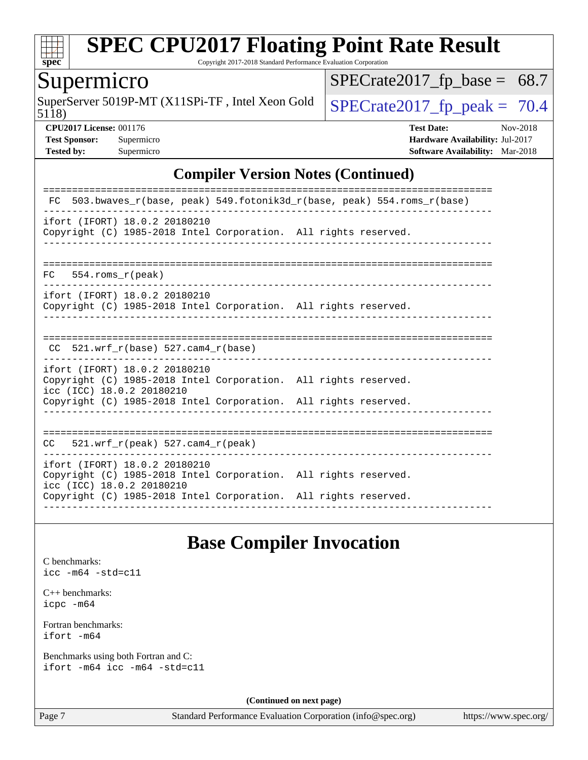

Copyright 2017-2018 Standard Performance Evaluation Corporation

#### Supermicro

5118) SuperServer 5019P-MT (X11SPi-TF, Intel Xeon Gold  $\big|$  SPECrate 2017 fp peak = 70.4

 $SPECrate2017_fp\_base = 68.7$ 

**[CPU2017 License:](http://www.spec.org/auto/cpu2017/Docs/result-fields.html#CPU2017License)** 001176 **[Test Date:](http://www.spec.org/auto/cpu2017/Docs/result-fields.html#TestDate)** Nov-2018 **[Test Sponsor:](http://www.spec.org/auto/cpu2017/Docs/result-fields.html#TestSponsor)** Supermicro **[Hardware Availability:](http://www.spec.org/auto/cpu2017/Docs/result-fields.html#HardwareAvailability)** Jul-2017 **[Tested by:](http://www.spec.org/auto/cpu2017/Docs/result-fields.html#Testedby)** Supermicro **[Software Availability:](http://www.spec.org/auto/cpu2017/Docs/result-fields.html#SoftwareAvailability)** Mar-2018

#### **[Compiler Version Notes \(Continued\)](http://www.spec.org/auto/cpu2017/Docs/result-fields.html#CompilerVersionNotes)**

| 503.bwaves r(base, peak) 549.fotonik3d r(base, peak) 554.roms r(base)<br>FC                                                                                                                      |  |  |  |  |  |  |
|--------------------------------------------------------------------------------------------------------------------------------------------------------------------------------------------------|--|--|--|--|--|--|
| ifort (IFORT) 18.0.2 20180210<br>Copyright (C) 1985-2018 Intel Corporation. All rights reserved.                                                                                                 |  |  |  |  |  |  |
| $FC$ 554. roms $r$ (peak)                                                                                                                                                                        |  |  |  |  |  |  |
| ifort (IFORT) 18.0.2 20180210<br>Copyright (C) 1985-2018 Intel Corporation. All rights reserved.                                                                                                 |  |  |  |  |  |  |
| 521.wrf $r(base)$ 527.cam4 $r(base)$<br>CC.                                                                                                                                                      |  |  |  |  |  |  |
| ifort (IFORT) 18.0.2 20180210<br>Copyright (C) 1985-2018 Intel Corporation. All rights reserved.<br>icc (ICC) 18.0.2 20180210<br>Copyright (C) 1985-2018 Intel Corporation. All rights reserved. |  |  |  |  |  |  |
| $521.$ wrf_r(peak) 527.cam4_r(peak)<br>CC.                                                                                                                                                       |  |  |  |  |  |  |
| ifort (IFORT) 18.0.2 20180210<br>Copyright (C) 1985-2018 Intel Corporation. All rights reserved.<br>icc (ICC) 18.0.2 20180210<br>Copyright (C) 1985-2018 Intel Corporation. All rights reserved. |  |  |  |  |  |  |

### **[Base Compiler Invocation](http://www.spec.org/auto/cpu2017/Docs/result-fields.html#BaseCompilerInvocation)**

[C benchmarks](http://www.spec.org/auto/cpu2017/Docs/result-fields.html#Cbenchmarks): [icc -m64 -std=c11](http://www.spec.org/cpu2017/results/res2018q4/cpu2017-20181112-09646.flags.html#user_CCbase_intel_icc_64bit_c11_33ee0cdaae7deeeab2a9725423ba97205ce30f63b9926c2519791662299b76a0318f32ddfffdc46587804de3178b4f9328c46fa7c2b0cd779d7a61945c91cd35)

[C++ benchmarks:](http://www.spec.org/auto/cpu2017/Docs/result-fields.html#CXXbenchmarks) [icpc -m64](http://www.spec.org/cpu2017/results/res2018q4/cpu2017-20181112-09646.flags.html#user_CXXbase_intel_icpc_64bit_4ecb2543ae3f1412ef961e0650ca070fec7b7afdcd6ed48761b84423119d1bf6bdf5cad15b44d48e7256388bc77273b966e5eb805aefd121eb22e9299b2ec9d9)

[Fortran benchmarks](http://www.spec.org/auto/cpu2017/Docs/result-fields.html#Fortranbenchmarks): [ifort -m64](http://www.spec.org/cpu2017/results/res2018q4/cpu2017-20181112-09646.flags.html#user_FCbase_intel_ifort_64bit_24f2bb282fbaeffd6157abe4f878425411749daecae9a33200eee2bee2fe76f3b89351d69a8130dd5949958ce389cf37ff59a95e7a40d588e8d3a57e0c3fd751)

[Benchmarks using both Fortran and C](http://www.spec.org/auto/cpu2017/Docs/result-fields.html#BenchmarksusingbothFortranandC): [ifort -m64](http://www.spec.org/cpu2017/results/res2018q4/cpu2017-20181112-09646.flags.html#user_CC_FCbase_intel_ifort_64bit_24f2bb282fbaeffd6157abe4f878425411749daecae9a33200eee2bee2fe76f3b89351d69a8130dd5949958ce389cf37ff59a95e7a40d588e8d3a57e0c3fd751) [icc -m64 -std=c11](http://www.spec.org/cpu2017/results/res2018q4/cpu2017-20181112-09646.flags.html#user_CC_FCbase_intel_icc_64bit_c11_33ee0cdaae7deeeab2a9725423ba97205ce30f63b9926c2519791662299b76a0318f32ddfffdc46587804de3178b4f9328c46fa7c2b0cd779d7a61945c91cd35)

**(Continued on next page)**

Page 7 Standard Performance Evaluation Corporation [\(info@spec.org\)](mailto:info@spec.org) <https://www.spec.org/>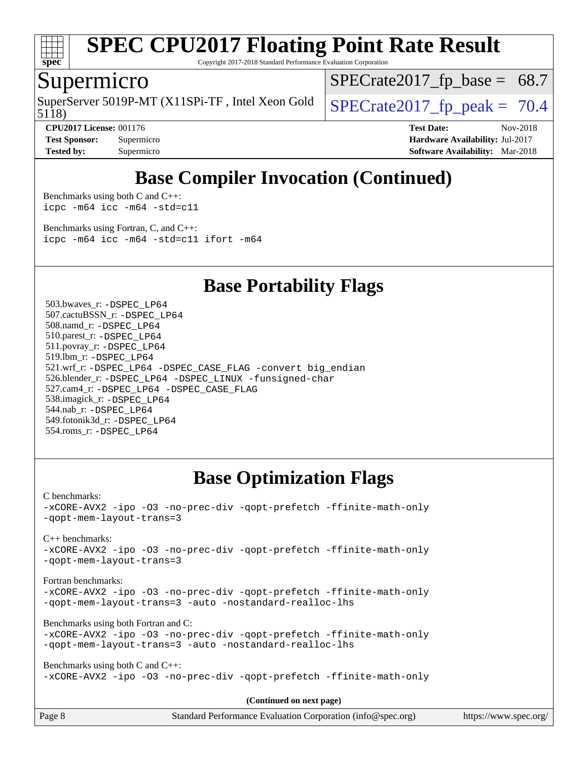

Copyright 2017-2018 Standard Performance Evaluation Corporation

### Supermicro

5118) SuperServer 5019P-MT (X11SPi-TF, Intel Xeon Gold  $\big|$  SPECrate 2017 fp peak = 70.4

 $SPECTate2017_fp\_base = 68.7$ 

**[CPU2017 License:](http://www.spec.org/auto/cpu2017/Docs/result-fields.html#CPU2017License)** 001176 **[Test Date:](http://www.spec.org/auto/cpu2017/Docs/result-fields.html#TestDate)** Nov-2018 **[Test Sponsor:](http://www.spec.org/auto/cpu2017/Docs/result-fields.html#TestSponsor)** Supermicro **[Hardware Availability:](http://www.spec.org/auto/cpu2017/Docs/result-fields.html#HardwareAvailability)** Jul-2017 **[Tested by:](http://www.spec.org/auto/cpu2017/Docs/result-fields.html#Testedby)** Supermicro **[Software Availability:](http://www.spec.org/auto/cpu2017/Docs/result-fields.html#SoftwareAvailability)** Mar-2018

## **[Base Compiler Invocation \(Continued\)](http://www.spec.org/auto/cpu2017/Docs/result-fields.html#BaseCompilerInvocation)**

[Benchmarks using both C and C++](http://www.spec.org/auto/cpu2017/Docs/result-fields.html#BenchmarksusingbothCandCXX): [icpc -m64](http://www.spec.org/cpu2017/results/res2018q4/cpu2017-20181112-09646.flags.html#user_CC_CXXbase_intel_icpc_64bit_4ecb2543ae3f1412ef961e0650ca070fec7b7afdcd6ed48761b84423119d1bf6bdf5cad15b44d48e7256388bc77273b966e5eb805aefd121eb22e9299b2ec9d9) [icc -m64 -std=c11](http://www.spec.org/cpu2017/results/res2018q4/cpu2017-20181112-09646.flags.html#user_CC_CXXbase_intel_icc_64bit_c11_33ee0cdaae7deeeab2a9725423ba97205ce30f63b9926c2519791662299b76a0318f32ddfffdc46587804de3178b4f9328c46fa7c2b0cd779d7a61945c91cd35)

[Benchmarks using Fortran, C, and C++:](http://www.spec.org/auto/cpu2017/Docs/result-fields.html#BenchmarksusingFortranCandCXX) [icpc -m64](http://www.spec.org/cpu2017/results/res2018q4/cpu2017-20181112-09646.flags.html#user_CC_CXX_FCbase_intel_icpc_64bit_4ecb2543ae3f1412ef961e0650ca070fec7b7afdcd6ed48761b84423119d1bf6bdf5cad15b44d48e7256388bc77273b966e5eb805aefd121eb22e9299b2ec9d9) [icc -m64 -std=c11](http://www.spec.org/cpu2017/results/res2018q4/cpu2017-20181112-09646.flags.html#user_CC_CXX_FCbase_intel_icc_64bit_c11_33ee0cdaae7deeeab2a9725423ba97205ce30f63b9926c2519791662299b76a0318f32ddfffdc46587804de3178b4f9328c46fa7c2b0cd779d7a61945c91cd35) [ifort -m64](http://www.spec.org/cpu2017/results/res2018q4/cpu2017-20181112-09646.flags.html#user_CC_CXX_FCbase_intel_ifort_64bit_24f2bb282fbaeffd6157abe4f878425411749daecae9a33200eee2bee2fe76f3b89351d69a8130dd5949958ce389cf37ff59a95e7a40d588e8d3a57e0c3fd751)

**[Base Portability Flags](http://www.spec.org/auto/cpu2017/Docs/result-fields.html#BasePortabilityFlags)**

 503.bwaves\_r: [-DSPEC\\_LP64](http://www.spec.org/cpu2017/results/res2018q4/cpu2017-20181112-09646.flags.html#suite_basePORTABILITY503_bwaves_r_DSPEC_LP64) 507.cactuBSSN\_r: [-DSPEC\\_LP64](http://www.spec.org/cpu2017/results/res2018q4/cpu2017-20181112-09646.flags.html#suite_basePORTABILITY507_cactuBSSN_r_DSPEC_LP64) 508.namd\_r: [-DSPEC\\_LP64](http://www.spec.org/cpu2017/results/res2018q4/cpu2017-20181112-09646.flags.html#suite_basePORTABILITY508_namd_r_DSPEC_LP64) 510.parest\_r: [-DSPEC\\_LP64](http://www.spec.org/cpu2017/results/res2018q4/cpu2017-20181112-09646.flags.html#suite_basePORTABILITY510_parest_r_DSPEC_LP64) 511.povray\_r: [-DSPEC\\_LP64](http://www.spec.org/cpu2017/results/res2018q4/cpu2017-20181112-09646.flags.html#suite_basePORTABILITY511_povray_r_DSPEC_LP64) 519.lbm\_r: [-DSPEC\\_LP64](http://www.spec.org/cpu2017/results/res2018q4/cpu2017-20181112-09646.flags.html#suite_basePORTABILITY519_lbm_r_DSPEC_LP64) 521.wrf\_r: [-DSPEC\\_LP64](http://www.spec.org/cpu2017/results/res2018q4/cpu2017-20181112-09646.flags.html#suite_basePORTABILITY521_wrf_r_DSPEC_LP64) [-DSPEC\\_CASE\\_FLAG](http://www.spec.org/cpu2017/results/res2018q4/cpu2017-20181112-09646.flags.html#b521.wrf_r_baseCPORTABILITY_DSPEC_CASE_FLAG) [-convert big\\_endian](http://www.spec.org/cpu2017/results/res2018q4/cpu2017-20181112-09646.flags.html#user_baseFPORTABILITY521_wrf_r_convert_big_endian_c3194028bc08c63ac5d04de18c48ce6d347e4e562e8892b8bdbdc0214820426deb8554edfa529a3fb25a586e65a3d812c835984020483e7e73212c4d31a38223) 526.blender\_r: [-DSPEC\\_LP64](http://www.spec.org/cpu2017/results/res2018q4/cpu2017-20181112-09646.flags.html#suite_basePORTABILITY526_blender_r_DSPEC_LP64) [-DSPEC\\_LINUX](http://www.spec.org/cpu2017/results/res2018q4/cpu2017-20181112-09646.flags.html#b526.blender_r_baseCPORTABILITY_DSPEC_LINUX) [-funsigned-char](http://www.spec.org/cpu2017/results/res2018q4/cpu2017-20181112-09646.flags.html#user_baseCPORTABILITY526_blender_r_force_uchar_40c60f00ab013830e2dd6774aeded3ff59883ba5a1fc5fc14077f794d777847726e2a5858cbc7672e36e1b067e7e5c1d9a74f7176df07886a243d7cc18edfe67) 527.cam4\_r: [-DSPEC\\_LP64](http://www.spec.org/cpu2017/results/res2018q4/cpu2017-20181112-09646.flags.html#suite_basePORTABILITY527_cam4_r_DSPEC_LP64) [-DSPEC\\_CASE\\_FLAG](http://www.spec.org/cpu2017/results/res2018q4/cpu2017-20181112-09646.flags.html#b527.cam4_r_baseCPORTABILITY_DSPEC_CASE_FLAG) 538.imagick\_r: [-DSPEC\\_LP64](http://www.spec.org/cpu2017/results/res2018q4/cpu2017-20181112-09646.flags.html#suite_basePORTABILITY538_imagick_r_DSPEC_LP64) 544.nab\_r: [-DSPEC\\_LP64](http://www.spec.org/cpu2017/results/res2018q4/cpu2017-20181112-09646.flags.html#suite_basePORTABILITY544_nab_r_DSPEC_LP64) 549.fotonik3d\_r: [-DSPEC\\_LP64](http://www.spec.org/cpu2017/results/res2018q4/cpu2017-20181112-09646.flags.html#suite_basePORTABILITY549_fotonik3d_r_DSPEC_LP64) 554.roms\_r: [-DSPEC\\_LP64](http://www.spec.org/cpu2017/results/res2018q4/cpu2017-20181112-09646.flags.html#suite_basePORTABILITY554_roms_r_DSPEC_LP64)

## **[Base Optimization Flags](http://www.spec.org/auto/cpu2017/Docs/result-fields.html#BaseOptimizationFlags)**

[C benchmarks](http://www.spec.org/auto/cpu2017/Docs/result-fields.html#Cbenchmarks):

[-xCORE-AVX2](http://www.spec.org/cpu2017/results/res2018q4/cpu2017-20181112-09646.flags.html#user_CCbase_f-xCORE-AVX2) [-ipo](http://www.spec.org/cpu2017/results/res2018q4/cpu2017-20181112-09646.flags.html#user_CCbase_f-ipo) [-O3](http://www.spec.org/cpu2017/results/res2018q4/cpu2017-20181112-09646.flags.html#user_CCbase_f-O3) [-no-prec-div](http://www.spec.org/cpu2017/results/res2018q4/cpu2017-20181112-09646.flags.html#user_CCbase_f-no-prec-div) [-qopt-prefetch](http://www.spec.org/cpu2017/results/res2018q4/cpu2017-20181112-09646.flags.html#user_CCbase_f-qopt-prefetch) [-ffinite-math-only](http://www.spec.org/cpu2017/results/res2018q4/cpu2017-20181112-09646.flags.html#user_CCbase_f_finite_math_only_cb91587bd2077682c4b38af759c288ed7c732db004271a9512da14a4f8007909a5f1427ecbf1a0fb78ff2a814402c6114ac565ca162485bbcae155b5e4258871) [-qopt-mem-layout-trans=3](http://www.spec.org/cpu2017/results/res2018q4/cpu2017-20181112-09646.flags.html#user_CCbase_f-qopt-mem-layout-trans_de80db37974c74b1f0e20d883f0b675c88c3b01e9d123adea9b28688d64333345fb62bc4a798493513fdb68f60282f9a726aa07f478b2f7113531aecce732043)

[C++ benchmarks:](http://www.spec.org/auto/cpu2017/Docs/result-fields.html#CXXbenchmarks)

[-xCORE-AVX2](http://www.spec.org/cpu2017/results/res2018q4/cpu2017-20181112-09646.flags.html#user_CXXbase_f-xCORE-AVX2) [-ipo](http://www.spec.org/cpu2017/results/res2018q4/cpu2017-20181112-09646.flags.html#user_CXXbase_f-ipo) [-O3](http://www.spec.org/cpu2017/results/res2018q4/cpu2017-20181112-09646.flags.html#user_CXXbase_f-O3) [-no-prec-div](http://www.spec.org/cpu2017/results/res2018q4/cpu2017-20181112-09646.flags.html#user_CXXbase_f-no-prec-div) [-qopt-prefetch](http://www.spec.org/cpu2017/results/res2018q4/cpu2017-20181112-09646.flags.html#user_CXXbase_f-qopt-prefetch) [-ffinite-math-only](http://www.spec.org/cpu2017/results/res2018q4/cpu2017-20181112-09646.flags.html#user_CXXbase_f_finite_math_only_cb91587bd2077682c4b38af759c288ed7c732db004271a9512da14a4f8007909a5f1427ecbf1a0fb78ff2a814402c6114ac565ca162485bbcae155b5e4258871) [-qopt-mem-layout-trans=3](http://www.spec.org/cpu2017/results/res2018q4/cpu2017-20181112-09646.flags.html#user_CXXbase_f-qopt-mem-layout-trans_de80db37974c74b1f0e20d883f0b675c88c3b01e9d123adea9b28688d64333345fb62bc4a798493513fdb68f60282f9a726aa07f478b2f7113531aecce732043)

[Fortran benchmarks](http://www.spec.org/auto/cpu2017/Docs/result-fields.html#Fortranbenchmarks):

[-xCORE-AVX2](http://www.spec.org/cpu2017/results/res2018q4/cpu2017-20181112-09646.flags.html#user_FCbase_f-xCORE-AVX2) [-ipo](http://www.spec.org/cpu2017/results/res2018q4/cpu2017-20181112-09646.flags.html#user_FCbase_f-ipo) [-O3](http://www.spec.org/cpu2017/results/res2018q4/cpu2017-20181112-09646.flags.html#user_FCbase_f-O3) [-no-prec-div](http://www.spec.org/cpu2017/results/res2018q4/cpu2017-20181112-09646.flags.html#user_FCbase_f-no-prec-div) [-qopt-prefetch](http://www.spec.org/cpu2017/results/res2018q4/cpu2017-20181112-09646.flags.html#user_FCbase_f-qopt-prefetch) [-ffinite-math-only](http://www.spec.org/cpu2017/results/res2018q4/cpu2017-20181112-09646.flags.html#user_FCbase_f_finite_math_only_cb91587bd2077682c4b38af759c288ed7c732db004271a9512da14a4f8007909a5f1427ecbf1a0fb78ff2a814402c6114ac565ca162485bbcae155b5e4258871) [-qopt-mem-layout-trans=3](http://www.spec.org/cpu2017/results/res2018q4/cpu2017-20181112-09646.flags.html#user_FCbase_f-qopt-mem-layout-trans_de80db37974c74b1f0e20d883f0b675c88c3b01e9d123adea9b28688d64333345fb62bc4a798493513fdb68f60282f9a726aa07f478b2f7113531aecce732043) [-auto](http://www.spec.org/cpu2017/results/res2018q4/cpu2017-20181112-09646.flags.html#user_FCbase_f-auto) [-nostandard-realloc-lhs](http://www.spec.org/cpu2017/results/res2018q4/cpu2017-20181112-09646.flags.html#user_FCbase_f_2003_std_realloc_82b4557e90729c0f113870c07e44d33d6f5a304b4f63d4c15d2d0f1fab99f5daaed73bdb9275d9ae411527f28b936061aa8b9c8f2d63842963b95c9dd6426b8a)

[Benchmarks using both Fortran and C](http://www.spec.org/auto/cpu2017/Docs/result-fields.html#BenchmarksusingbothFortranandC):

```
-xCORE-AVX2 -ipo -O3 -no-prec-div -qopt-prefetch -ffinite-math-only
-qopt-mem-layout-trans=3 -auto -nostandard-realloc-lhs
```
[Benchmarks using both C and C++](http://www.spec.org/auto/cpu2017/Docs/result-fields.html#BenchmarksusingbothCandCXX): [-xCORE-AVX2](http://www.spec.org/cpu2017/results/res2018q4/cpu2017-20181112-09646.flags.html#user_CC_CXXbase_f-xCORE-AVX2) [-ipo](http://www.spec.org/cpu2017/results/res2018q4/cpu2017-20181112-09646.flags.html#user_CC_CXXbase_f-ipo) [-O3](http://www.spec.org/cpu2017/results/res2018q4/cpu2017-20181112-09646.flags.html#user_CC_CXXbase_f-O3) [-no-prec-div](http://www.spec.org/cpu2017/results/res2018q4/cpu2017-20181112-09646.flags.html#user_CC_CXXbase_f-no-prec-div) [-qopt-prefetch](http://www.spec.org/cpu2017/results/res2018q4/cpu2017-20181112-09646.flags.html#user_CC_CXXbase_f-qopt-prefetch) [-ffinite-math-only](http://www.spec.org/cpu2017/results/res2018q4/cpu2017-20181112-09646.flags.html#user_CC_CXXbase_f_finite_math_only_cb91587bd2077682c4b38af759c288ed7c732db004271a9512da14a4f8007909a5f1427ecbf1a0fb78ff2a814402c6114ac565ca162485bbcae155b5e4258871)

**(Continued on next page)**

| Page 8 | Standard Performance Evaluation Corporation (info@spec.org) | https://www.spec.org/ |
|--------|-------------------------------------------------------------|-----------------------|
|        |                                                             |                       |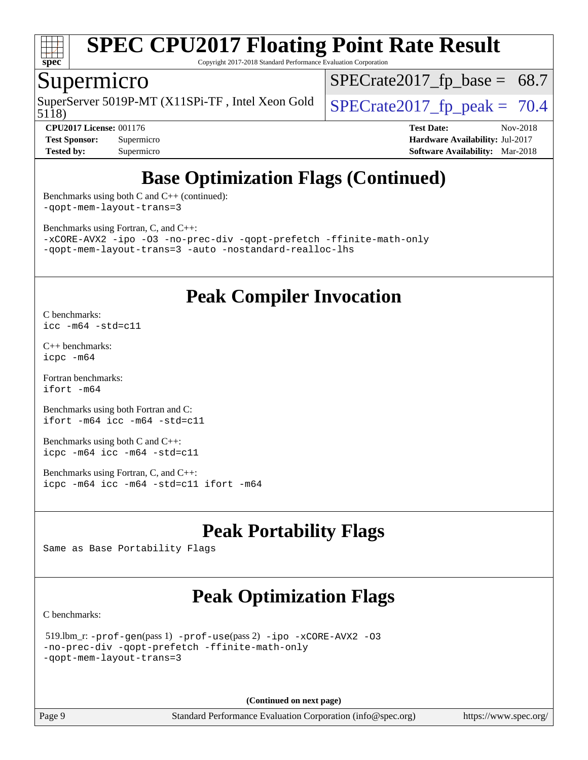

Copyright 2017-2018 Standard Performance Evaluation Corporation

### Supermicro

5118) SuperServer 5019P-MT (X11SPi-TF, Intel Xeon Gold  $\big|$  SPECrate 2017 fp peak = 70.4

 $SPECrate2017_fp\_base = 68.7$ 

**[CPU2017 License:](http://www.spec.org/auto/cpu2017/Docs/result-fields.html#CPU2017License)** 001176 **[Test Date:](http://www.spec.org/auto/cpu2017/Docs/result-fields.html#TestDate)** Nov-2018 **[Test Sponsor:](http://www.spec.org/auto/cpu2017/Docs/result-fields.html#TestSponsor)** Supermicro **[Hardware Availability:](http://www.spec.org/auto/cpu2017/Docs/result-fields.html#HardwareAvailability)** Jul-2017 **[Tested by:](http://www.spec.org/auto/cpu2017/Docs/result-fields.html#Testedby)** Supermicro **[Software Availability:](http://www.spec.org/auto/cpu2017/Docs/result-fields.html#SoftwareAvailability)** Mar-2018

## **[Base Optimization Flags \(Continued\)](http://www.spec.org/auto/cpu2017/Docs/result-fields.html#BaseOptimizationFlags)**

[Benchmarks using both C and C++](http://www.spec.org/auto/cpu2017/Docs/result-fields.html#BenchmarksusingbothCandCXX) (continued): [-qopt-mem-layout-trans=3](http://www.spec.org/cpu2017/results/res2018q4/cpu2017-20181112-09646.flags.html#user_CC_CXXbase_f-qopt-mem-layout-trans_de80db37974c74b1f0e20d883f0b675c88c3b01e9d123adea9b28688d64333345fb62bc4a798493513fdb68f60282f9a726aa07f478b2f7113531aecce732043)

[Benchmarks using Fortran, C, and C++:](http://www.spec.org/auto/cpu2017/Docs/result-fields.html#BenchmarksusingFortranCandCXX)

[-xCORE-AVX2](http://www.spec.org/cpu2017/results/res2018q4/cpu2017-20181112-09646.flags.html#user_CC_CXX_FCbase_f-xCORE-AVX2) [-ipo](http://www.spec.org/cpu2017/results/res2018q4/cpu2017-20181112-09646.flags.html#user_CC_CXX_FCbase_f-ipo) [-O3](http://www.spec.org/cpu2017/results/res2018q4/cpu2017-20181112-09646.flags.html#user_CC_CXX_FCbase_f-O3) [-no-prec-div](http://www.spec.org/cpu2017/results/res2018q4/cpu2017-20181112-09646.flags.html#user_CC_CXX_FCbase_f-no-prec-div) [-qopt-prefetch](http://www.spec.org/cpu2017/results/res2018q4/cpu2017-20181112-09646.flags.html#user_CC_CXX_FCbase_f-qopt-prefetch) [-ffinite-math-only](http://www.spec.org/cpu2017/results/res2018q4/cpu2017-20181112-09646.flags.html#user_CC_CXX_FCbase_f_finite_math_only_cb91587bd2077682c4b38af759c288ed7c732db004271a9512da14a4f8007909a5f1427ecbf1a0fb78ff2a814402c6114ac565ca162485bbcae155b5e4258871) [-qopt-mem-layout-trans=3](http://www.spec.org/cpu2017/results/res2018q4/cpu2017-20181112-09646.flags.html#user_CC_CXX_FCbase_f-qopt-mem-layout-trans_de80db37974c74b1f0e20d883f0b675c88c3b01e9d123adea9b28688d64333345fb62bc4a798493513fdb68f60282f9a726aa07f478b2f7113531aecce732043) [-auto](http://www.spec.org/cpu2017/results/res2018q4/cpu2017-20181112-09646.flags.html#user_CC_CXX_FCbase_f-auto) [-nostandard-realloc-lhs](http://www.spec.org/cpu2017/results/res2018q4/cpu2017-20181112-09646.flags.html#user_CC_CXX_FCbase_f_2003_std_realloc_82b4557e90729c0f113870c07e44d33d6f5a304b4f63d4c15d2d0f1fab99f5daaed73bdb9275d9ae411527f28b936061aa8b9c8f2d63842963b95c9dd6426b8a)

## **[Peak Compiler Invocation](http://www.spec.org/auto/cpu2017/Docs/result-fields.html#PeakCompilerInvocation)**

[C benchmarks](http://www.spec.org/auto/cpu2017/Docs/result-fields.html#Cbenchmarks): [icc -m64 -std=c11](http://www.spec.org/cpu2017/results/res2018q4/cpu2017-20181112-09646.flags.html#user_CCpeak_intel_icc_64bit_c11_33ee0cdaae7deeeab2a9725423ba97205ce30f63b9926c2519791662299b76a0318f32ddfffdc46587804de3178b4f9328c46fa7c2b0cd779d7a61945c91cd35)

[C++ benchmarks:](http://www.spec.org/auto/cpu2017/Docs/result-fields.html#CXXbenchmarks) [icpc -m64](http://www.spec.org/cpu2017/results/res2018q4/cpu2017-20181112-09646.flags.html#user_CXXpeak_intel_icpc_64bit_4ecb2543ae3f1412ef961e0650ca070fec7b7afdcd6ed48761b84423119d1bf6bdf5cad15b44d48e7256388bc77273b966e5eb805aefd121eb22e9299b2ec9d9)

[Fortran benchmarks](http://www.spec.org/auto/cpu2017/Docs/result-fields.html#Fortranbenchmarks): [ifort -m64](http://www.spec.org/cpu2017/results/res2018q4/cpu2017-20181112-09646.flags.html#user_FCpeak_intel_ifort_64bit_24f2bb282fbaeffd6157abe4f878425411749daecae9a33200eee2bee2fe76f3b89351d69a8130dd5949958ce389cf37ff59a95e7a40d588e8d3a57e0c3fd751)

[Benchmarks using both Fortran and C](http://www.spec.org/auto/cpu2017/Docs/result-fields.html#BenchmarksusingbothFortranandC): [ifort -m64](http://www.spec.org/cpu2017/results/res2018q4/cpu2017-20181112-09646.flags.html#user_CC_FCpeak_intel_ifort_64bit_24f2bb282fbaeffd6157abe4f878425411749daecae9a33200eee2bee2fe76f3b89351d69a8130dd5949958ce389cf37ff59a95e7a40d588e8d3a57e0c3fd751) [icc -m64 -std=c11](http://www.spec.org/cpu2017/results/res2018q4/cpu2017-20181112-09646.flags.html#user_CC_FCpeak_intel_icc_64bit_c11_33ee0cdaae7deeeab2a9725423ba97205ce30f63b9926c2519791662299b76a0318f32ddfffdc46587804de3178b4f9328c46fa7c2b0cd779d7a61945c91cd35)

[Benchmarks using both C and C++](http://www.spec.org/auto/cpu2017/Docs/result-fields.html#BenchmarksusingbothCandCXX): [icpc -m64](http://www.spec.org/cpu2017/results/res2018q4/cpu2017-20181112-09646.flags.html#user_CC_CXXpeak_intel_icpc_64bit_4ecb2543ae3f1412ef961e0650ca070fec7b7afdcd6ed48761b84423119d1bf6bdf5cad15b44d48e7256388bc77273b966e5eb805aefd121eb22e9299b2ec9d9) [icc -m64 -std=c11](http://www.spec.org/cpu2017/results/res2018q4/cpu2017-20181112-09646.flags.html#user_CC_CXXpeak_intel_icc_64bit_c11_33ee0cdaae7deeeab2a9725423ba97205ce30f63b9926c2519791662299b76a0318f32ddfffdc46587804de3178b4f9328c46fa7c2b0cd779d7a61945c91cd35)

[Benchmarks using Fortran, C, and C++:](http://www.spec.org/auto/cpu2017/Docs/result-fields.html#BenchmarksusingFortranCandCXX) [icpc -m64](http://www.spec.org/cpu2017/results/res2018q4/cpu2017-20181112-09646.flags.html#user_CC_CXX_FCpeak_intel_icpc_64bit_4ecb2543ae3f1412ef961e0650ca070fec7b7afdcd6ed48761b84423119d1bf6bdf5cad15b44d48e7256388bc77273b966e5eb805aefd121eb22e9299b2ec9d9) [icc -m64 -std=c11](http://www.spec.org/cpu2017/results/res2018q4/cpu2017-20181112-09646.flags.html#user_CC_CXX_FCpeak_intel_icc_64bit_c11_33ee0cdaae7deeeab2a9725423ba97205ce30f63b9926c2519791662299b76a0318f32ddfffdc46587804de3178b4f9328c46fa7c2b0cd779d7a61945c91cd35) [ifort -m64](http://www.spec.org/cpu2017/results/res2018q4/cpu2017-20181112-09646.flags.html#user_CC_CXX_FCpeak_intel_ifort_64bit_24f2bb282fbaeffd6157abe4f878425411749daecae9a33200eee2bee2fe76f3b89351d69a8130dd5949958ce389cf37ff59a95e7a40d588e8d3a57e0c3fd751)

## **[Peak Portability Flags](http://www.spec.org/auto/cpu2017/Docs/result-fields.html#PeakPortabilityFlags)**

Same as Base Portability Flags

## **[Peak Optimization Flags](http://www.spec.org/auto/cpu2017/Docs/result-fields.html#PeakOptimizationFlags)**

[C benchmarks](http://www.spec.org/auto/cpu2017/Docs/result-fields.html#Cbenchmarks):

```
 519.lbm_r: -prof-gen(pass 1) -prof-use(pass 2) -ipo -xCORE-AVX2 -O3
-no-prec-div -qopt-prefetch -ffinite-math-only
-qopt-mem-layout-trans=3
```
**(Continued on next page)**

Page 9 Standard Performance Evaluation Corporation [\(info@spec.org\)](mailto:info@spec.org) <https://www.spec.org/>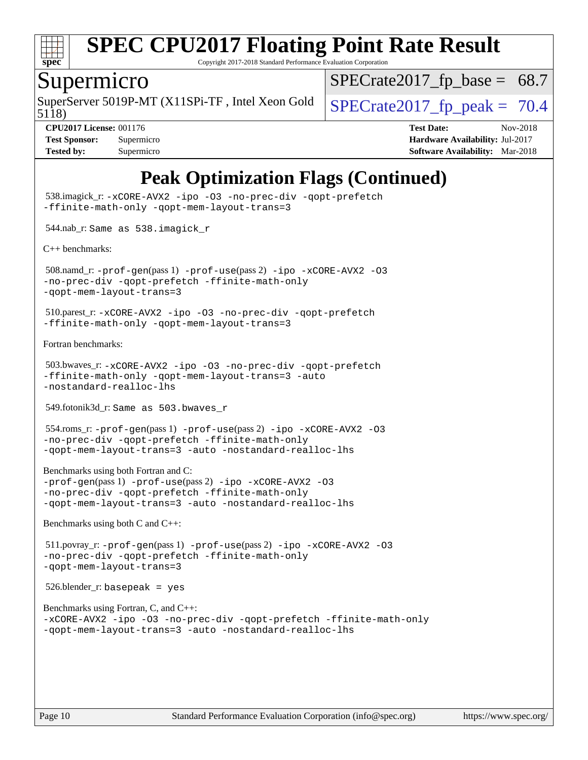

Copyright 2017-2018 Standard Performance Evaluation Corporation

#### Supermicro

5118) SuperServer 5019P-MT (X11SPi-TF, Intel Xeon Gold  $\big|$  SPECrate 2017 fp peak = 70.4

 $SPECTate2017_fp\_base = 68.7$ 

**[CPU2017 License:](http://www.spec.org/auto/cpu2017/Docs/result-fields.html#CPU2017License)** 001176 **[Test Date:](http://www.spec.org/auto/cpu2017/Docs/result-fields.html#TestDate)** Nov-2018

**[Test Sponsor:](http://www.spec.org/auto/cpu2017/Docs/result-fields.html#TestSponsor)** Supermicro **[Hardware Availability:](http://www.spec.org/auto/cpu2017/Docs/result-fields.html#HardwareAvailability)** Jul-2017 **[Tested by:](http://www.spec.org/auto/cpu2017/Docs/result-fields.html#Testedby)** Supermicro **Supermicro [Software Availability:](http://www.spec.org/auto/cpu2017/Docs/result-fields.html#SoftwareAvailability)** Mar-2018

## **[Peak Optimization Flags \(Continued\)](http://www.spec.org/auto/cpu2017/Docs/result-fields.html#PeakOptimizationFlags)**

```
 538.imagick_r: -xCORE-AVX2 -ipo -O3 -no-prec-div -qopt-prefetch
-ffinite-math-only -qopt-mem-layout-trans=3
 544.nab_r: Same as 538.imagick_r
C++ benchmarks: 
 508.namd_r: -prof-gen(pass 1) -prof-use(pass 2) -ipo -xCORE-AVX2 -O3
-no-prec-div -qopt-prefetch -ffinite-math-only
-qopt-mem-layout-trans=3
 510.parest_r: -xCORE-AVX2 -ipo -O3 -no-prec-div -qopt-prefetch
-ffinite-math-only -qopt-mem-layout-trans=3
Fortran benchmarks: 
 503.bwaves_r: -xCORE-AVX2 -ipo -O3 -no-prec-div -qopt-prefetch
-ffinite-math-only -qopt-mem-layout-trans=3 -auto
-nostandard-realloc-lhs
 549.fotonik3d_r: Same as 503.bwaves_r
 554.roms_r: -prof-gen(pass 1) -prof-use(pass 2) -ipo -xCORE-AVX2 -O3
-no-prec-div -qopt-prefetch -ffinite-math-only
-qopt-mem-layout-trans=3 -auto -nostandard-realloc-lhs
Benchmarks using both Fortran and C: 
-prof-gen(pass 1) -prof-use(pass 2) -ipo -xCORE-AVX2 -O3
-no-prec-div -qopt-prefetch -ffinite-math-only
-qopt-mem-layout-trans=3 -auto -nostandard-realloc-lhs
Benchmarks using both C and C++: 
 511.povray_r: -prof-gen(pass 1) -prof-use(pass 2) -ipo -xCORE-AVX2 -O3
-no-prec-div -qopt-prefetch -ffinite-math-only
-qopt-mem-layout-trans=3
 526.blender_r: basepeak = yes
Benchmarks using Fortran, C, and C++: 
-xCORE-AVX2 -ipo -O3 -no-prec-div -qopt-prefetch -ffinite-math-only
-qopt-mem-layout-trans=3 -auto -nostandard-realloc-lhs
```